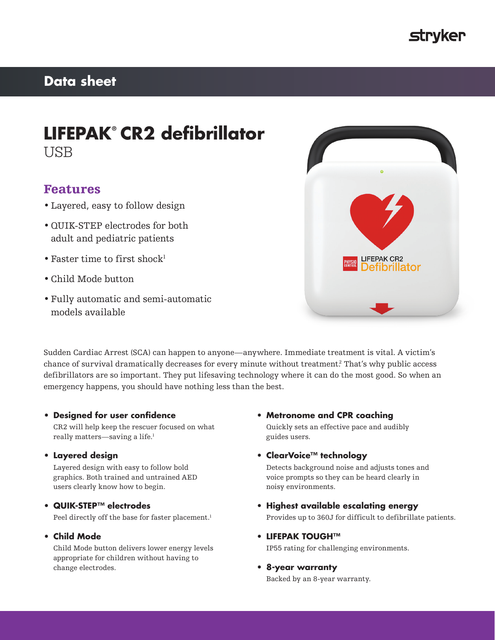

# **Data sheet**

# **LIFEPAK® CR2 defibrillator** USB

# Features

- Layered, easy to follow design
- •QUIK-STEP electrodes for both adult and pediatric patients
- Faster time to first shock $1$
- Child Mode button
- Fully automatic and semi-automatic models available



Sudden Cardiac Arrest (SCA) can happen to anyone—anywhere. Immediate treatment is vital. A victim's chance of survival dramatically decreases for every minute without treatment.2 That's why public access defibrillators are so important. They put lifesaving technology where it can do the most good. So when an emergency happens, you should have nothing less than the best.

## **• Designed for user confidence**

CR2 will help keep the rescuer focused on what really matters—saving a life.<sup>1</sup>

### **• Layered design**

Layered design with easy to follow bold graphics. Both trained and untrained AED users clearly know how to begin.

## **• QUIK-STEP™ electrodes**

Peel directly off the base for faster placement.<sup>1</sup>

## **• Child Mode**

Child Mode button delivers lower energy levels appropriate for children without having to change electrodes.

- **• Metronome and CPR coaching** Quickly sets an effective pace and audibly guides users.
- **• ClearVoice™ technology**

Detects background noise and adjusts tones and voice prompts so they can be heard clearly in noisy environments.

- **• Highest available escalating energy** Provides up to 360J for difficult to defibrillate patients.
- **• LIFEPAK TOUGH™** IP55 rating for challenging environments.
	-
- **• 8-year warranty**

Backed by an 8-year warranty.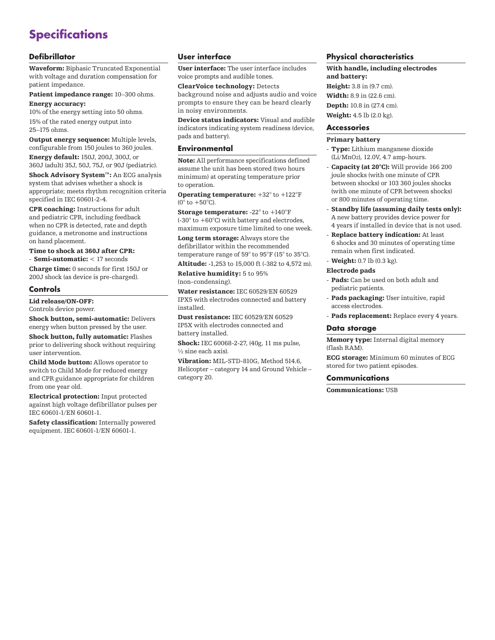# **Specifications**

## **Defibrillator**

Waveform: Biphasic Truncated Exponential with voltage and duration compensation for patient impedance.

Patient impedance range: 10–300 ohms. Energy accuracy:

10% of the energy setting into 50 ohms. 15% of the rated energy output into 25–175 ohms.

Output energy sequence: Multiple levels, configurable from 150 joules to 360 joules.

Energy default: 150J, 200J, 300J, or 360J (adult) 35J, 50J, 75J, or 90J (pediatric).

Shock Advisory System™: An ECG analysis system that advises whether a shock is appropriate; meets rhythm recognition criteria specified in IEC 60601-2-4.

CPR coaching: Instructions for adult and pediatric CPR, including feedback when no CPR is detected, rate and depth guidance, a metronome and instructions on hand placement.

Time to shock at 360J after CPR:

- Semi-automatic: < 17 seconds Charge time: 0 seconds for first 150J or 200J shock (as device is pre-charged).

#### **Controls**

Lid release/ON-OFF:

Controls device power.

Shock button, semi-automatic: Delivers energy when button pressed by the user.

Shock button, fully automatic: Flashes prior to delivering shock without requiring user intervention.

Child Mode button: Allows operator to switch to Child Mode for reduced energy and CPR guidance appropriate for children from one year old.

Electrical protection: Input protected against high voltage defibrillator pulses per IEC 60601-1/EN 60601-1.

Safety classification: Internally powered equipment. IEC 60601-1/EN 60601-1.

## **User interface**

User interface: The user interface includes voice prompts and audible tones.

ClearVoice technology: Detects

background noise and adjusts audio and voice prompts to ensure they can be heard clearly in noisy environments.

Device status indicators: Visual and audible indicators indicating system readiness (device, pads and battery).

## **Environmental**

Note: All performance specifications defined assume the unit has been stored (two hours minimum) at operating temperature prior to operation.

Operating temperature: +32° to +122°F  $(0°$  to  $+50°$ C).

Storage temperature: -22° to +140°F  $(-30^\circ \text{ to } +60^\circ \text{C})$  with battery and electrodes, maximum exposure time limited to one week.

Long term storage: Always store the defibrillator within the recommended temperature range of 59° to 95°F (15° to 35°C). Altitude: -1,253 to 15,000 ft (-382 to 4,572 m).

Relative humidity: 5 to 95% (non-condensing).

Water resistance: IEC 60529/EN 60529 IPX5 with electrodes connected and battery installed.

Dust resistance: IEC 60529/EN 60529 IP5X with electrodes connected and battery installed.

Shock: IEC 60068-2-27, (40g, 11 ms pulse,  $\frac{1}{2}$  sine each axis).

Vibration: MIL-STD-810G, Method 514.6, Helicopter – category 14 and Ground Vehicle – category 20.

### **Physical characteristics**

With handle, including electrodes and battery: Height: 3.8 in (9.7 cm). Width: 8.9 in (22.6 cm).

Depth: 10.8 in (27.4 cm). Weight: 4.5 lb (2.0 kg).

## **Accessories**

#### Primary battery

- Type: Lithium manganese dioxide (Li/MnO2), 12.0V, 4.7 amp-hours.
- Capacity (at 20°C): Will provide 166 200 joule shocks (with one minute of CPR between shocks) or 103 360 joules shocks (with one minute of CPR between shocks) or 800 minutes of operating time.
- Standby life (assuming daily tests only): A new battery provides device power for 4 years if installed in device that is not used.
- Replace battery indication: At least 6 shocks and 30 minutes of operating time remain when first indicated.
- Weight: 0.7 lb (0.3 kg).

#### Electrode pads

- Pads: Can be used on both adult and pediatric patients.
- Pads packaging: User intuitive, rapid access electrodes.
- Pads replacement: Replace every 4 years.

#### **Data storage**

Memory type: Internal digital memory (flash RAM).

ECG storage: Minimum 60 minutes of ECG stored for two patient episodes.

### **Communications**

Communications: USB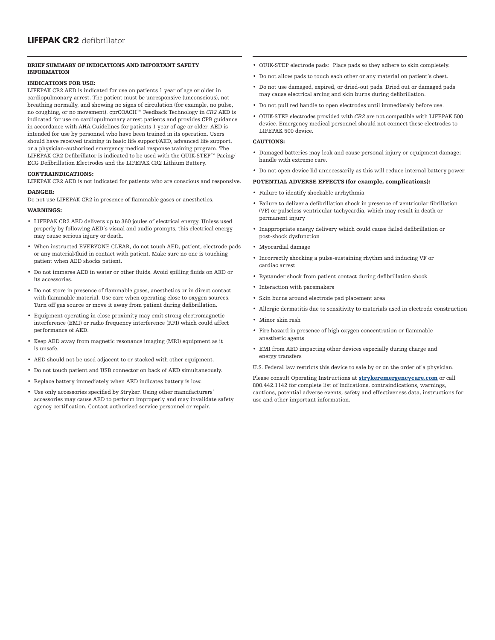#### BRIEF SUMMARY OF INDICATIONS AND IMPORTANT SAFETY INFORMATION

#### INDICATIONS FOR USE:

LIFEPAK CR2 AED is indicated for use on patients 1 year of age or older in cardiopulmonary arrest. The patient must be unresponsive (unconscious), not breathing normally, and showing no signs of circulation (for example, no pulse, no coughing, or no movement). cprCOACH™ Feedback Technology in *CR2* AED is indicated for use on cardiopulmonary arrest patients and provides CPR guidance in accordance with AHA Guidelines for patients 1 year of age or older. AED is intended for use by personnel who have been trained in its operation. Users should have received training in basic life support/AED, advanced life support, or a physician-authorized emergency medical response training program. The LIFEPAK CR2 Defibrillator is indicated to be used with the QUIK-STEP™ Pacing/ ECG Defibrillation Electrodes and the LIFEPAK CR2 Lithium Battery.

#### CONTRAINDICATIONS:

LIFEPAK CR2 AED is not indicated for patients who are conscious and responsive.

#### DANGER:

Do not use LIFEPAK CR2 in presence of flammable gases or anesthetics.

#### WARNINGS:

- LIFEPAK CR2 AED delivers up to 360 joules of electrical energy. Unless used properly by following AED's visual and audio prompts, this electrical energy may cause serious injury or death.
- When instructed EVERYONE CLEAR, do not touch AED, patient, electrode pads or any material/fluid in contact with patient. Make sure no one is touching patient when AED shocks patient.
- Do not immerse AED in water or other fluids. Avoid spilling fluids on AED or its accessories.
- Do not store in presence of flammable gases, anesthetics or in direct contact with flammable material. Use care when operating close to oxygen sources. Turn off gas source or move it away from patient during defibrillation.
- Equipment operating in close proximity may emit strong electromagnetic interference (EMI) or radio frequency interference (RFI) which could affect performance of AED.
- Keep AED away from magnetic resonance imaging (MRI) equipment as it is unsafe.
- AED should not be used adjacent to or stacked with other equipment.
- Do not touch patient and USB connector on back of AED simultaneously.
- Replace battery immediately when AED indicates battery is low.
- Use only accessories specified by Stryker. Using other manufacturers' accessories may cause AED to perform improperly and may invalidate safety agency certification. Contact authorized service personnel or repair.
- QUIK-STEP electrode pads: Place pads so they adhere to skin completely.
- Do not allow pads to touch each other or any material on patient's chest.
- Do not use damaged, expired, or dried-out pads. Dried out or damaged pads may cause electrical arcing and skin burns during defibrillation.
- Do not pull red handle to open electrodes until immediately before use.
- QUIK-STEP electrodes provided with *CR2* are not compatible with LIFEPAK 500 device. Emergency medical personnel should not connect these electrodes to LIFEPAK 500 device.

#### CAUTIONS:

- Damaged batteries may leak and cause personal injury or equipment damage; handle with extreme care.
- Do not open device lid unnecessarily as this will reduce internal battery power.

#### POTENTIAL ADVERSE EFFECTS (for example, complications):

- Failure to identify shockable arrhythmia
- Failure to deliver a defibrillation shock in presence of ventricular fibrillation (VF) or pulseless ventricular tachycardia, which may result in death or permanent injury
- Inappropriate energy delivery which could cause failed defibrillation or post-shock dysfunction
- Myocardial damage
- Incorrectly shocking a pulse-sustaining rhythm and inducing VF or cardiac arrest
- Bystander shock from patient contact during defibrillation shock
- Interaction with pacemakers
- Skin burns around electrode pad placement area
- Allergic dermatitis due to sensitivity to materials used in electrode construction
- Minor skin rash
- Fire hazard in presence of high oxygen concentration or flammable anesthetic agents
- EMI from AED impacting other devices especially during charge and energy transfers
- U.S. Federal law restricts this device to sale by or on the order of a physician.

Please consult Operating Instructions at **[strykeremergencycare.com](http://www.strykeremergencycare.com)** or call 800.442.1142 for complete list of indications, contraindications, warnings, cautions, potential adverse events, safety and effectiveness data, instructions for use and other important information.